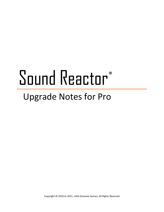# Sound Reactor®

## Upgrade Notes for Pro

Copyright © 2018 to 2021, Little Dreamer Games, All Rights Reserved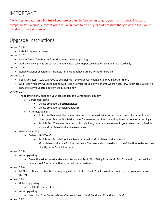### IMPORTANT

Always test updates on a *backup* of your project first before committing to your main project. Backwards compatibility is a priority, except when it is an update to fix a bug or add a feature that grows the tool, which could in turn break a project.

## Upgrade Instructions

#### Version 1.1.8

• Rebuild segmented levels

#### Version 1.1.7

- Delete TempoTimeMap.cs from the project before updating.
- AudioMidiSync public properties are now Pascal case (upper case first letter). Rename accordingly.

#### Version 1.1.6

• Rename MonoBehaviourParticle.Return to MonoBehaviourParticle.ReturnParticle

#### Version 1.1.5

- SpectrumFilter->Scale will have to be adjusted if the value was changed to anything other than 1.
- MidiNote->Velocity was renamed to MidiNote->NormalizedVelocity. Rename where necessary. MidiNote->Velocity is now the raw value straight from the MIDI file now.

#### Version 1.1.4

- The following only applies if your project uses the Demo scripts directly
	- o Before upgrading:
		- Delete EmitNoteObjectHandler.cs
		- Delete EmitNoteParticlesHandler.cs
	- o After upgrading:
		- EmitNoteObjectHandler.cs was renamed to NoteParticleEmitter.cs and was modified to utilize an object pool. See the MidiBasics scene for an example of its use and update your scenes accordingly.
		- Particle.StartTime was renamed to Particle.Emit; rename as necessary in your project. Also, Particle is now MonoBehaviourParticle (see below).
- Before Upgrading
	- o Delete: "LDG/Core"
		- Particle and ParticlePool have been renamed to MonoBehaviourParticle and MonoBehaviourParticlePool, respectively. They were also moved out of the Collection folder and live directly in the Core folder now.

#### Version 1.1.0

- After upgrading:
	- o Move the value stored under *Audio Latency* to *Audio Start Delay* for all AudioMidiSync scripts, then set Audio Latency to 0.2, or a value that works with your system.

#### Version 1.0.4

• MIDI files affected by bad time remapping will need to be rebuilt. You'll know if the audio doesn't play in time with the MIDI.

Version 1.0.2

- Before upgrading:
	- o Delete the Demos folder
- After upgrading:
	- o Swap *Spectrum Source->Normalize* from *Peak* to *Peak Band*, and *Peak Band* to *Peak*

Version 1.0.1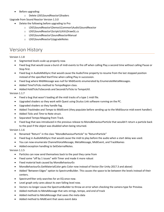- Before upgrading:
	- o Delete LDG\SoundReactor\Shaders

Upgrade from Sound Reactor Version 1.3.0

- Delete the following before upgrading to Pro
	- o LDG\SoundReactor\Demos\Common\Audio\SoundReactor
	- o LDG\SoundReactor\Scripts\Utils\DrawGL.cs
	- o LDG\SoundReactor\SoundReactorManual
	- o LDG\SoundReactor\UpgradeNotes

## Version History

#### Version 1.1.8

- Segmented levels scale up properly now.
- Fixed bug that would cause a burst of midi events to fire off when calling Play a second time without calling Pause or Stop first.
- Fixed bug in AudioMidiSync that would cause the AudioTime property to resume from the last stopped position instead of the specified StartTime when calling Play in succession.
- Fixed bug where MidiMessage was null for MidiEvents enumerated by EnumerateMetaMessages.
- Added TimeToTicks method to TempoRegion class.
- Added HoldTicksToSeconds and SecondsToTicks to TempoUtil.

#### Version 1.1.7

- Fixed a bug that wasn't loading all the midi tracks of a type 1 midi file.
- Upgraded shaders so they work with Quest using Oculus Link software running on the PC.
- Upgraded shaders so they handle fog.
- Added *TrackIndex* and *Tempo* to MidiEvent (they populate before sending up to the MidiSource midi event handler).
- Added *Ticks* and *Time* to Note struct.
- Separated Tempo Mapping from Track.
- Fixed bug that was introduced in the previous release to MonoBehaviourParticle that wouldn't return a particle back to the pool if the object was disabled when being returned.

#### Version 1.1.6

- Renamed "Return" in the class "MonoBehaviourParticle" to "ReturnParticle"
- Fixed bug in AudioMidiSync that would cause the midi to play before the audio when a start delay was used.
- You can now enumerate ChannelVoiceMessage, MetaMessage, MidiEvent, and TrackNames
- Added exception handling to SetExternalNotes.

#### Version 1.1.5

- Particles can now send themselves back to the pool they came from
- Fixed some "off by 1 issues" with Timer and made it more robust
- Fixed material leak caused by MonoBehaviourEx
- MonoBehaviourEx.GetMaterialColor gets Color now instead of Vector (for Unity 2017.3 and above)
- Added "Between Edges" option to SpectrumBuilder. This causes the space to be between the levels instead of their centers.
- SpectrumFilter only searches for an EQ once now.
- Level graph only cares about its own falling level now.
- Vectors no longer cause the SpectrumBuilder to throw an error when checking the camera type for Preview.
- Added methods to MetaMessage that sets strings, tempo, and end of track
- Added method to MetaMessage that saves the meta data
- Added method to MidiEvent that saves event data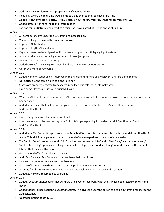- AudioMidiSync.Update returns properly now if sources not set
- Fixed bug where the midi time would jump to 0 and then to the specified Start Time
- Added Note.NormalizedVelocity. Note.Velocity is now the raw midi value that ranges from 0 to 127.
- Added better error handling to midi track reader
- Looking for EndOfTrack when reading a midi track now instead of relying on the chunk size.

#### Version 1.1.4

- All demo scripts live under the LDG.Demo namespace now
- Vector no longer draws in the preview window.
- Improved Note shader.
- Improved RhythmGame demo.
- Keyboard Keys can be assigned to RhythmNote (only works with legacy input system).
- All scenes that were instancing notes now utilize object pools.
- Deleted outdated and unused scripts
- Added OnEmit() and OnExpire() event handlers to MonoBehaviourParticle
- Optimized MonoBehaviourEx

#### Version 1.1.3

- Added PianoRoll script and it is demoed in the MidiEventEmitter2 and MidiEventEmitter3 demo scenes.
- NoteStrips are the same width as piano keys now.
- Start Note property removed from SpectrumBuilder. It is calculated internally now.
- Fixed some playback issues with AudioMidiSync.

#### Version 1.1.2

- When in MIDI mode, you can now enter MIDI note values instead of frequencies. No more conversions: commence happy dance!
- Added new shader that makes note strips have rounded corners. Featured in MidiEventEmitter2 and MidiEventEmitter3.

Version 1.1.1

- Fixed timing issue with the new delayed midi
- Fixed random error issue occurring with EmitNoteStrips happening in the demos: MidiEventEmitter2 and MidiEventEmitter3

#### Version 1.1.0

- Added new MidiSourceDelayed property to AudioMidiSync, which is demonstrated in the new MidiEventEmitter3 scene. This MidiSource plays in sync with the AudioSource regardless if the audio is delayed or not.
- The "Audio Delay" property in AudioMidiSync has been separated into "Audio Start Delay" and "Audio Latency". "Audio Start Delay" specifies how long to wait before playing, and "Audio Latency" is used to specify the natural latency that occurs with audio.
- Gave the AudioMidiSync interface a facelift
- AudioMidiSync and MidiSource scripts now have their own icons
- Line vectors can now be anchored just like circles can
- PeaksProfile assets now show a preview of the peaks curve in the inspector
- All audio files have a maximum integration and true peaks value of -14 LUFS and -1dB now
- Added 20 new pre-recorded peaks profiles

Version 1.0.8

- Added SpectrumLineRenderer that will draw a line vector that works with the SRP. It's been tested with URP and HDRP.
- Added Global Fallback option to SpectrumSource. This gives the user the option to disable automatic fallback to the AudioListener.
- Upgraded project to Unity 5.6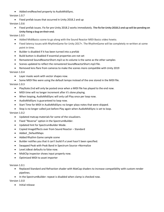• Added endReached property to AudioMidiSync.

Version 1.0.7

• Fixed prefab issues that occurred in Unity 2018.2 and up

Version 1.0.6

• Fixed prefab issues. Fix for pre-Unity 2018.2 works immediately. The fix for Unity 2018.2 and up will be pending on Unity fixing a bug on their end.

Version 1.0.5

- Added MidiBasics scene to go along with the Sound Reactor MIDI Basics video howto.
- Fixed latency issues with RhythmGame for Unity 2017+. The RhythmGame will be completely re-written at some point in time.
- Builder is disabled if it has been turned into a prefab
- Build button is disabled if essential properties are not set
- Remastered SoundReactorShort.mp3 so its volume is the same as the other samples
- Scenes updated to reflect the remastered SoundReactorShort.mp3 file.
- Removed lens flare from cameras to make the scenes more compatible with Unity 2019

Version 1.0.4

- Layer masks work with vector shapes now.
- Some MIDI files were using the default tempo instead of the one stored in the MIDI file.

#### Version 1.0.3

- PlayState.End will only be posted once when a MIDI file has played to the end now.
- MIDI time will no longer increment after it's done playing.
- When looping, AudioMidiSync will only call Play once per loop now.
- AudioMidiSync is guaranteed to loop now.
- Start Time for MIDI in AudioMidiSync no longer plays notes that were skipped.
- Stop is no longer called just before Play again when AudioMidiSync is set to loop.

#### Version 1.0.2

- Updated matcap materials for some of the visualizers.
- Fixed "Reverse" option in the SpectrumBuilder.
- Updated hint for SpectrumBuilder Mode.
- Copied ImageEffects over from Sound Reactor Standard
- Added \_DefaultMaps
- Added Rhythm Game sample scene
- Builder notifies you that it can't build if a Level hasn't been specified.
- Swapped Peak with Peak Band in Spectrum Source->Normalize
- Level.isBeat defaults to false now.
- MidiClip inspector shows input properly now.
- Optimized MIDI to asset importer

#### Version 1.0.1

- Replaced Standard and Refraction shader with MatCap shaders to increase compatibility with custom render pipelines.
- In the SpectrumBuilder: repeat is disabled when clamp is checked now.

Version 1.0.0

• Initial release